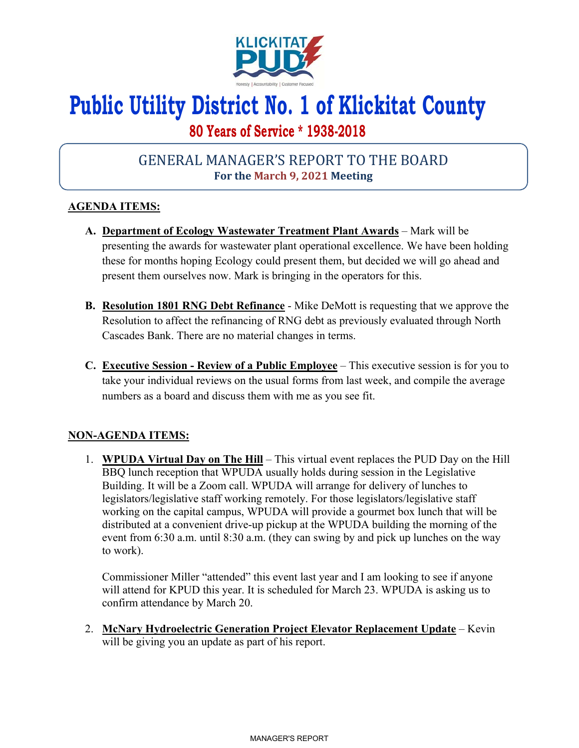

# **Public Utility District No. 1 of Klickitat County**

## **80 Years of Service \* 1938-2018**

## GENERAL MANAGER'S REPORT TO THE BOARD **For the March 9, 2021 Meeting**

### **AGENDA ITEMS:**

- **A. Department of Ecology Wastewater Treatment Plant Awards** Mark will be presenting the awards for wastewater plant operational excellence. We have been holding these for months hoping Ecology could present them, but decided we will go ahead and present them ourselves now. Mark is bringing in the operators for this.
- **B. Resolution 1801 RNG Debt Refinance** Mike DeMott is requesting that we approve the Resolution to affect the refinancing of RNG debt as previously evaluated through North Cascades Bank. There are no material changes in terms.
- **C. Executive Session Review of a Public Employee** This executive session is for you to take your individual reviews on the usual forms from last week, and compile the average numbers as a board and discuss them with me as you see fit.

### **NON-AGENDA ITEMS:**

1. **WPUDA Virtual Day on The Hill** – This virtual event replaces the PUD Day on the Hill BBQ lunch reception that WPUDA usually holds during session in the Legislative Building. It will be a Zoom call. WPUDA will arrange for delivery of lunches to legislators/legislative staff working remotely. For those legislators/legislative staff working on the capital campus, WPUDA will provide a gourmet box lunch that will be distributed at a convenient drive-up pickup at the WPUDA building the morning of the event from 6:30 a.m. until 8:30 a.m. (they can swing by and pick up lunches on the way to work).

Commissioner Miller "attended" this event last year and I am looking to see if anyone will attend for KPUD this year. It is scheduled for March 23. WPUDA is asking us to confirm attendance by March 20.

2. **McNary Hydroelectric Generation Project Elevator Replacement Update** – Kevin will be giving you an update as part of his report.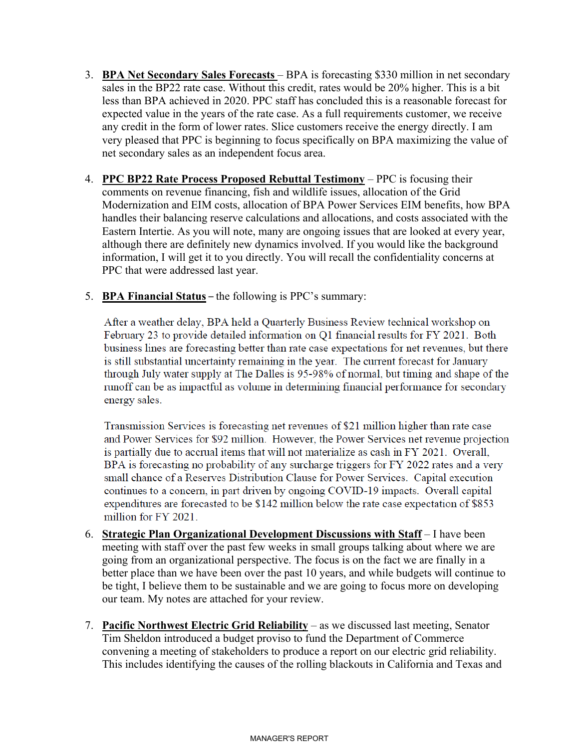- 3. **BPA Net Secondary Sales Forecasts**  BPA is forecasting \$330 million in net secondary sales in the BP22 rate case. Without this credit, rates would be 20% higher. This is a bit less than BPA achieved in 2020. PPC staff has concluded this is a reasonable forecast for expected value in the years of the rate case. As a full requirements customer, we receive any credit in the form of lower rates. Slice customers receive the energy directly. I am very pleased that PPC is beginning to focus specifically on BPA maximizing the value of net secondary sales as an independent focus area.
- 4. **PPC BP22 Rate Process Proposed Rebuttal Testimony** PPC is focusing their comments on revenue financing, fish and wildlife issues, allocation of the Grid Modernization and EIM costs, allocation of BPA Power Services EIM benefits, how BPA handles their balancing reserve calculations and allocations, and costs associated with the Eastern Intertie. As you will note, many are ongoing issues that are looked at every year, although there are definitely new dynamics involved. If you would like the background information, I will get it to you directly. You will recall the confidentiality concerns at PPC that were addressed last year.
- 5. **BPA Financial Status** the following is PPC's summary:

After a weather delay, BPA held a Quarterly Business Review technical workshop on February 23 to provide detailed information on Q1 financial results for FY 2021. Both business lines are forecasting better than rate case expectations for net revenues, but there is still substantial uncertainty remaining in the year. The current forecast for January through July water supply at The Dalles is 95-98% of normal, but timing and shape of the runoff can be as impactful as volume in determining financial performance for secondary energy sales.

Transmission Services is forecasting net revenues of \$21 million higher than rate case and Power Services for \$92 million. However, the Power Services net revenue projection is partially due to accrual items that will not materialize as cash in FY 2021. Overall, BPA is forecasting no probability of any surcharge triggers for FY 2022 rates and a very small chance of a Reserves Distribution Clause for Power Services. Capital execution continues to a concern, in part driven by ongoing COVID-19 impacts. Overall capital expenditures are forecasted to be \$142 million below the rate case expectation of \$853 million for FY 2021.

- 6. **Strategic Plan Organizational Development Discussions with Staff** I have been meeting with staff over the past few weeks in small groups talking about where we are going from an organizational perspective. The focus is on the fact we are finally in a better place than we have been over the past 10 years, and while budgets will continue to be tight, I believe them to be sustainable and we are going to focus more on developing our team. My notes are attached for your review.
- 7. **Pacific Northwest Electric Grid Reliability** as we discussed last meeting, Senator Tim Sheldon introduced a budget proviso to fund the Department of Commerce convening a meeting of stakeholders to produce a report on our electric grid reliability. This includes identifying the causes of the rolling blackouts in California and Texas and